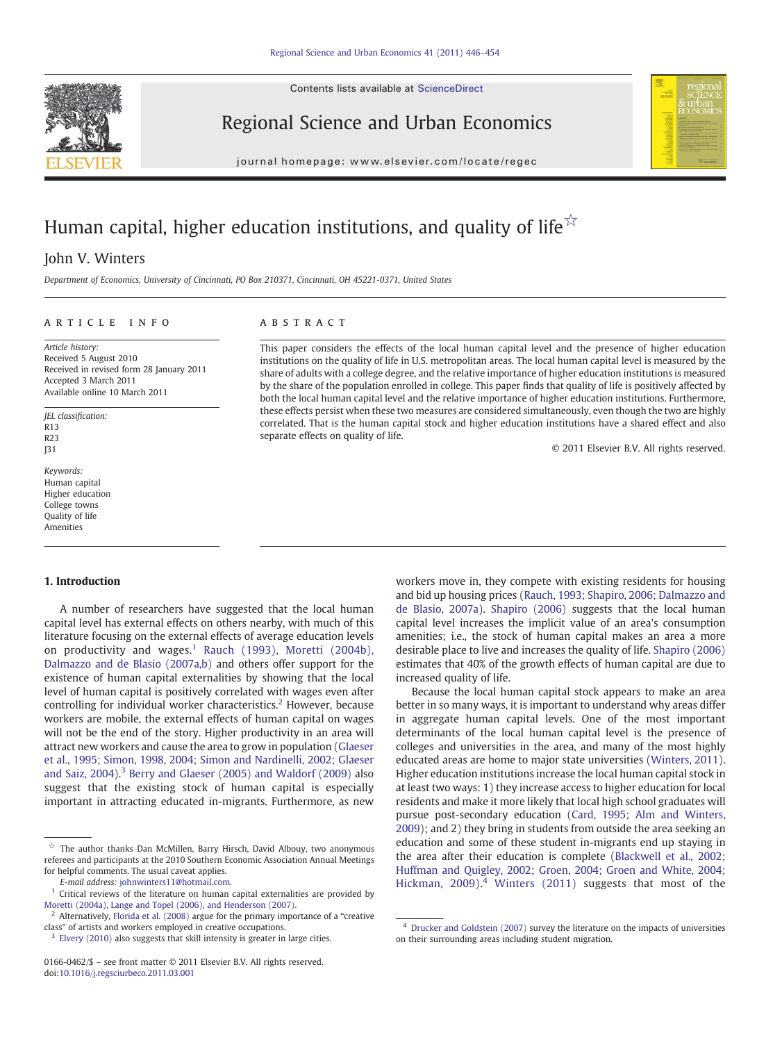Contents lists available at ScienceDirect



Regional Science and Urban Economics

journal homepage: www.elsevier.com/locate/regec

# Human capital, higher education institutions, and quality of life $\dot{\alpha}$

## John V. Winters

Department of Economics, University of Cincinnati, PO Box 210371, Cincinnati, OH 45221-0371, United States

### article info abstract

Article history: Received 5 August 2010 Received in revised form 28 January 2011 Accepted 3 March 2011 Available online 10 March 2011

JEL classification: R13 R23 J31

Keywords: Human capital Higher education College towns Quality of life Amenities

### 1. Introduction

A number of researchers have suggested that the local human capital level has external effects on others nearby, with much of this literature focusing on the external effects of average education levels on productivity and wages.<sup>1</sup> [Rauch \(1993\), Moretti \(2004b\),](#page--1-0) [Dalmazzo and de Blasio \(2007a,b\)](#page--1-0) and others offer support for the existence of human capital externalities by showing that the local level of human capital is positively correlated with wages even after controlling for individual worker characteristics.<sup>2</sup> However, because workers are mobile, the external effects of human capital on wages will not be the end of the story. Higher productivity in an area will attract new workers and cause the area to grow in population ([Glaeser](#page--1-0) [et al., 1995; Simon, 1998, 2004; Simon and Nardinelli, 2002; Glaeser](#page--1-0) [and Saiz, 2004\)](#page--1-0).<sup>3</sup> [Berry and Glaeser \(2005\) and Waldorf \(2009\)](#page--1-0) also suggest that the existing stock of human capital is especially important in attracting educated in-migrants. Furthermore, as new

E-mail address: [johnwinters11@hotmail.com](mailto:johnwinters11@hotmail.com).

This paper considers the effects of the local human capital level and the presence of higher education institutions on the quality of life in U.S. metropolitan areas. The local human capital level is measured by the share of adults with a college degree, and the relative importance of higher education institutions is measured by the share of the population enrolled in college. This paper finds that quality of life is positively affected by both the local human capital level and the relative importance of higher education institutions. Furthermore, these effects persist when these two measures are considered simultaneously, even though the two are highly correlated. That is the human capital stock and higher education institutions have a shared effect and also separate effects on quality of life.

© 2011 Elsevier B.V. All rights reserved.

workers move in, they compete with existing residents for housing and bid up housing prices [\(Rauch, 1993; Shapiro, 2006; Dalmazzo and](#page--1-0) [de Blasio, 2007a\)](#page--1-0). [Shapiro \(2006\)](#page--1-0) suggests that the local human capital level increases the implicit value of an area's consumption amenities; i.e., the stock of human capital makes an area a more desirable place to live and increases the quality of life. [Shapiro \(2006\)](#page--1-0) estimates that 40% of the growth effects of human capital are due to increased quality of life.

Because the local human capital stock appears to make an area better in so many ways, it is important to understand why areas differ in aggregate human capital levels. One of the most important determinants of the local human capital level is the presence of colleges and universities in the area, and many of the most highly educated areas are home to major state universities ([Winters, 2011](#page--1-0)). Higher education institutions increase the local human capital stock in at least two ways: 1) they increase access to higher education for local residents and make it more likely that local high school graduates will pursue post-secondary education ([Card, 1995; Alm and Winters,](#page--1-0) [2009\)](#page--1-0); and 2) they bring in students from outside the area seeking an education and some of these student in-migrants end up staying in the area after their education is complete ([Blackwell et al., 2002;](#page--1-0) [Huffman and Quigley, 2002; Groen, 2004; Groen and White, 2004;](#page--1-0) [Hickman, 2009](#page--1-0)).<sup>4</sup> [Winters \(2011\)](#page--1-0) suggests that most of the

 $\overrightarrow{x}$  The author thanks Dan McMillen, Barry Hirsch, David Albouy, two anonymous referees and participants at the 2010 Southern Economic Association Annual Meetings for helpful comments. The usual caveat applies.

 $1$  Critical reviews of the literature on human capital externalities are provided by [Moretti \(2004a\), Lange and Topel \(2006\), and Henderson \(2007\).](#page--1-0)

 $2$  Alternatively, [Florida et al. \(2008\)](#page--1-0) argue for the primary importance of a "creative class" of artists and workers employed in creative occupations.

<sup>&</sup>lt;sup>3</sup> [Elvery \(2010\)](#page--1-0) also suggests that skill intensity is greater in large cities.

<sup>0166-0462/\$</sup> – see front matter © 2011 Elsevier B.V. All rights reserved. doi[:10.1016/j.regsciurbeco.2011.03.001](http://dx.doi.org/10.1016/j.regsciurbeco.2011.03.001)

<sup>4</sup> [Drucker and Goldstein \(2007\)](#page--1-0) survey the literature on the impacts of universities on their surrounding areas including student migration.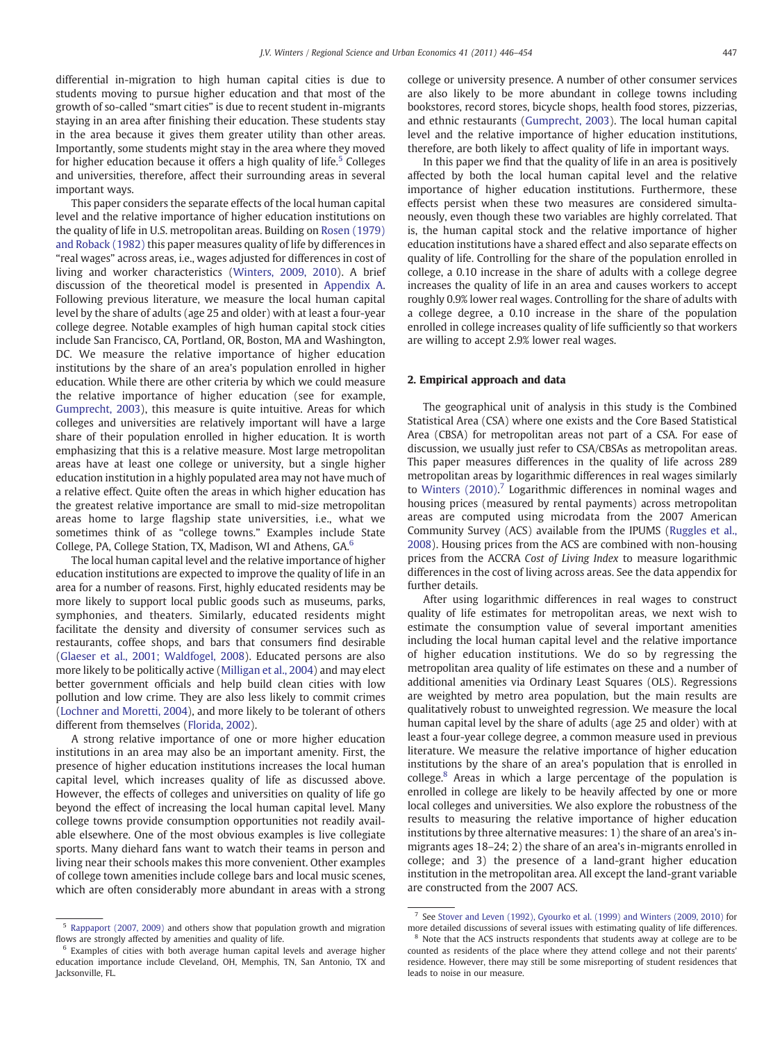differential in-migration to high human capital cities is due to students moving to pursue higher education and that most of the growth of so-called "smart cities" is due to recent student in-migrants staying in an area after finishing their education. These students stay in the area because it gives them greater utility than other areas. Importantly, some students might stay in the area where they moved for higher education because it offers a high quality of life.<sup>5</sup> Colleges and universities, therefore, affect their surrounding areas in several important ways.

This paper considers the separate effects of the local human capital level and the relative importance of higher education institutions on the quality of life in U.S. metropolitan areas. Building on [Rosen \(1979\)](#page--1-0) [and Roback \(1982\)](#page--1-0) this paper measures quality of life by differences in "real wages" across areas, i.e., wages adjusted for differences in cost of living and worker characteristics ([Winters, 2009, 2010\)](#page--1-0). A brief discussion of the theoretical model is presented in [Appendix A.](#page--1-0) Following previous literature, we measure the local human capital level by the share of adults (age 25 and older) with at least a four-year college degree. Notable examples of high human capital stock cities include San Francisco, CA, Portland, OR, Boston, MA and Washington, DC. We measure the relative importance of higher education institutions by the share of an area's population enrolled in higher education. While there are other criteria by which we could measure the relative importance of higher education (see for example, [Gumprecht, 2003\)](#page--1-0), this measure is quite intuitive. Areas for which colleges and universities are relatively important will have a large share of their population enrolled in higher education. It is worth emphasizing that this is a relative measure. Most large metropolitan areas have at least one college or university, but a single higher education institution in a highly populated area may not have much of a relative effect. Quite often the areas in which higher education has the greatest relative importance are small to mid-size metropolitan areas home to large flagship state universities, i.e., what we sometimes think of as "college towns." Examples include State College, PA, College Station, TX, Madison, WI and Athens, GA.6

The local human capital level and the relative importance of higher education institutions are expected to improve the quality of life in an area for a number of reasons. First, highly educated residents may be more likely to support local public goods such as museums, parks, symphonies, and theaters. Similarly, educated residents might facilitate the density and diversity of consumer services such as restaurants, coffee shops, and bars that consumers find desirable [\(Glaeser et al., 2001; Waldfogel, 2008](#page--1-0)). Educated persons are also more likely to be politically active [\(Milligan et al., 2004\)](#page--1-0) and may elect better government officials and help build clean cities with low pollution and low crime. They are also less likely to commit crimes [\(Lochner and Moretti, 2004\)](#page--1-0), and more likely to be tolerant of others different from themselves [\(Florida, 2002\)](#page--1-0).

A strong relative importance of one or more higher education institutions in an area may also be an important amenity. First, the presence of higher education institutions increases the local human capital level, which increases quality of life as discussed above. However, the effects of colleges and universities on quality of life go beyond the effect of increasing the local human capital level. Many college towns provide consumption opportunities not readily available elsewhere. One of the most obvious examples is live collegiate sports. Many diehard fans want to watch their teams in person and living near their schools makes this more convenient. Other examples of college town amenities include college bars and local music scenes, which are often considerably more abundant in areas with a strong college or university presence. A number of other consumer services are also likely to be more abundant in college towns including bookstores, record stores, bicycle shops, health food stores, pizzerias, and ethnic restaurants [\(Gumprecht, 2003](#page--1-0)). The local human capital level and the relative importance of higher education institutions, therefore, are both likely to affect quality of life in important ways.

In this paper we find that the quality of life in an area is positively affected by both the local human capital level and the relative importance of higher education institutions. Furthermore, these effects persist when these two measures are considered simultaneously, even though these two variables are highly correlated. That is, the human capital stock and the relative importance of higher education institutions have a shared effect and also separate effects on quality of life. Controlling for the share of the population enrolled in college, a 0.10 increase in the share of adults with a college degree increases the quality of life in an area and causes workers to accept roughly 0.9% lower real wages. Controlling for the share of adults with a college degree, a 0.10 increase in the share of the population enrolled in college increases quality of life sufficiently so that workers are willing to accept 2.9% lower real wages.

### 2. Empirical approach and data

The geographical unit of analysis in this study is the Combined Statistical Area (CSA) where one exists and the Core Based Statistical Area (CBSA) for metropolitan areas not part of a CSA. For ease of discussion, we usually just refer to CSA/CBSAs as metropolitan areas. This paper measures differences in the quality of life across 289 metropolitan areas by logarithmic differences in real wages similarly to Winters  $(2010).<sup>7</sup>$  Logarithmic differences in nominal wages and housing prices (measured by rental payments) across metropolitan areas are computed using microdata from the 2007 American Community Survey (ACS) available from the IPUMS [\(Ruggles et al.,](#page--1-0) [2008\)](#page--1-0). Housing prices from the ACS are combined with non-housing prices from the ACCRA Cost of Living Index to measure logarithmic differences in the cost of living across areas. See the data appendix for further details.

After using logarithmic differences in real wages to construct quality of life estimates for metropolitan areas, we next wish to estimate the consumption value of several important amenities including the local human capital level and the relative importance of higher education institutions. We do so by regressing the metropolitan area quality of life estimates on these and a number of additional amenities via Ordinary Least Squares (OLS). Regressions are weighted by metro area population, but the main results are qualitatively robust to unweighted regression. We measure the local human capital level by the share of adults (age 25 and older) with at least a four-year college degree, a common measure used in previous literature. We measure the relative importance of higher education institutions by the share of an area's population that is enrolled in college. $8$  Areas in which a large percentage of the population is enrolled in college are likely to be heavily affected by one or more local colleges and universities. We also explore the robustness of the results to measuring the relative importance of higher education institutions by three alternative measures: 1) the share of an area's inmigrants ages 18–24; 2) the share of an area's in-migrants enrolled in college; and 3) the presence of a land-grant higher education institution in the metropolitan area. All except the land-grant variable are constructed from the 2007 ACS.

<sup>5</sup> [Rappaport \(2007, 2009\)](#page--1-0) and others show that population growth and migration flows are strongly affected by amenities and quality of life.

<sup>6</sup> Examples of cities with both average human capital levels and average higher education importance include Cleveland, OH, Memphis, TN, San Antonio, TX and Jacksonville, FL.

<sup>7</sup> See [Stover and Leven \(1992\), Gyourko et al. \(1999\) and Winters \(2009, 2010\)](#page--1-0) for more detailed discussions of several issues with estimating quality of life differences.

 $8\,$  Note that the ACS instructs respondents that students away at college are to be counted as residents of the place where they attend college and not their parents' residence. However, there may still be some misreporting of student residences that leads to noise in our measure.